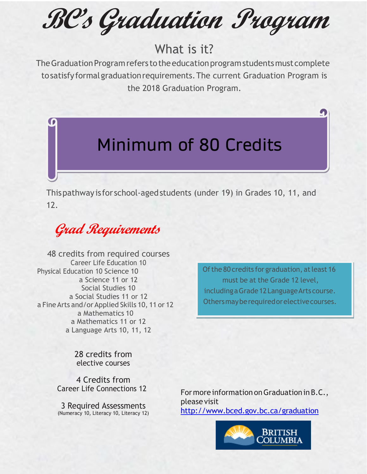**BC's Graduation Program**

## What is it?

The Graduation Program refers to the education program students must complete tosatisfyformalgraduationrequirements.The current Graduation Program is the 2018 Graduation Program.



Thispathwayis for school-agedstudents (under 19) in Grades 10, 11, and 12.

**Grad Requirements**

48 credits from required courses Career Life Education 10 Physical Education 10 Science 10 a Science 11 or 12 Social Studies 10 a Social Studies 11 or 12 a FineArts and/or Applied Skills 10, 11 or 12 a Mathematics 10 a Mathematics 11 or 12 a Language Arts 10, 11, 12

> 28 credits from elective courses

4 Credits from Career Life Connections 12

3 Required Assessments (Numeracy 10, Literacy 10, Literacy 12) Of the 80 credits for graduation, at least 16 must be at the Grade 12 level, including a Grade 12 Language Arts course. Othersmayberequiredorelectivecourses.

For more information on Graduation in B.C., please visit <http://www.bced.gov.bc.ca/graduation>